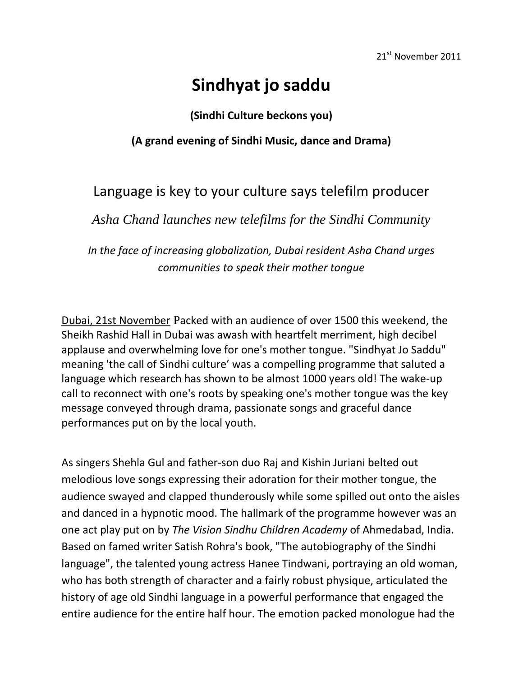## **Sindhyat jo saddu**

**(Sindhi Culture beckons you)**

## **(A grand evening of Sindhi Music, dance and Drama)**

## Language is key to your culture says telefilm producer

*Asha Chand launches new telefilms for the Sindhi Community*

*In the face of increasing globalization, Dubai resident Asha Chand urges communities to speak their mother tongue*

Dubai, 21st November Packed with an audience of over 1500 this weekend, the Sheikh Rashid Hall in Dubai was awash with heartfelt merriment, high decibel applause and overwhelming love for one's mother tongue. "Sindhyat Jo Saddu" meaning 'the call of Sindhi culture' was a compelling programme that saluted a language which research has shown to be almost 1000 years old! The wake-up call to reconnect with one's roots by speaking one's mother tongue was the key message conveyed through drama, passionate songs and graceful dance performances put on by the local youth.

As singers Shehla Gul and father-son duo Raj and Kishin Juriani belted out melodious love songs expressing their adoration for their mother tongue, the audience swayed and clapped thunderously while some spilled out onto the aisles and danced in a hypnotic mood. The hallmark of the programme however was an one act play put on by *The Vision Sindhu Children Academy* of Ahmedabad, India. Based on famed writer Satish Rohra's book, "The autobiography of the Sindhi language", the talented young actress Hanee Tindwani, portraying an old woman, who has both strength of character and a fairly robust physique, articulated the history of age old Sindhi language in a powerful performance that engaged the entire audience for the entire half hour. The emotion packed monologue had the